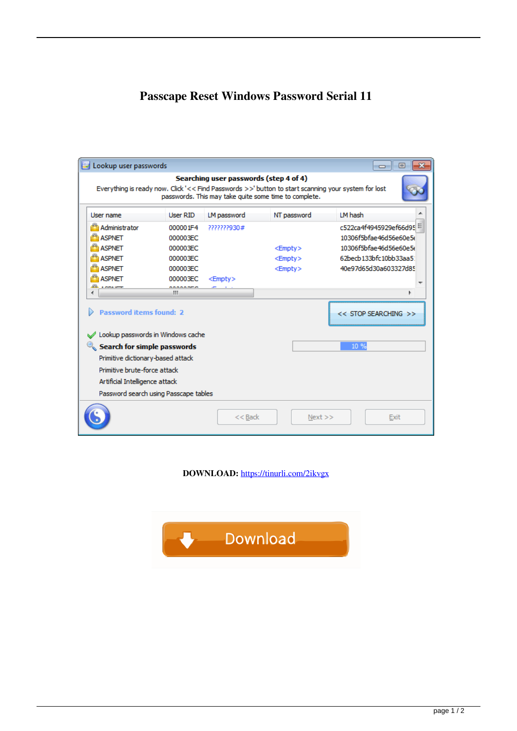## **Passcape Reset Windows Password Serial 11**

|                                                                                           |                                       |               | Everything is ready now. Click '<< Find Passwords >>' button to start scanning your system for lost<br>passwords. This may take quite some time to complete. |                          |
|-------------------------------------------------------------------------------------------|---------------------------------------|---------------|--------------------------------------------------------------------------------------------------------------------------------------------------------------|--------------------------|
| User name                                                                                 | User RID                              | LM password   | NT password                                                                                                                                                  | LM hash                  |
| Administrator                                                                             | 000001F4                              | 2222222930#   |                                                                                                                                                              | c522ca4f4945929ef66d95   |
| <b>ASPNET</b>                                                                             | 000003EC                              |               |                                                                                                                                                              | 10306f5bfae46d56e60e5d   |
| <b>ASPNET</b>                                                                             | 000003EC                              |               | $<$ Empty $>$                                                                                                                                                | 10306f5bfae46d56e60e5d   |
| <b>ASPNET</b>                                                                             | 000003EC                              |               | $<$ Empty $>$                                                                                                                                                | 62becb 133bfc 10bb33aa5: |
| <b>ASPNET</b>                                                                             | 000003EC                              |               | $<$ Empty $>$                                                                                                                                                | 40e97d65d30a603327d85    |
| <b>ASPNET</b>                                                                             | 000003EC                              | $<$ Empty $>$ |                                                                                                                                                              |                          |
| <b><i>A POPULATION</i></b>                                                                | ********<br>ш                         |               |                                                                                                                                                              |                          |
| <b>Password items found: 2</b>                                                            |                                       |               |                                                                                                                                                              | << STOP SEARCHING >>     |
| Lookup passwords in Windows cache<br>$\mathcal{R}_\mathbf{S}$ Search for simple passwords |                                       |               |                                                                                                                                                              | 10 %                     |
| Primitive dictionary-based attack                                                         |                                       |               |                                                                                                                                                              |                          |
| Primitive brute-force attack                                                              |                                       |               |                                                                                                                                                              |                          |
| Artificial Intelligence attack                                                            |                                       |               |                                                                                                                                                              |                          |
|                                                                                           |                                       |               |                                                                                                                                                              |                          |
|                                                                                           | Password search using Passcape tables |               |                                                                                                                                                              |                          |

**DOWNLOAD:** <https://tinurli.com/2ikvgx>